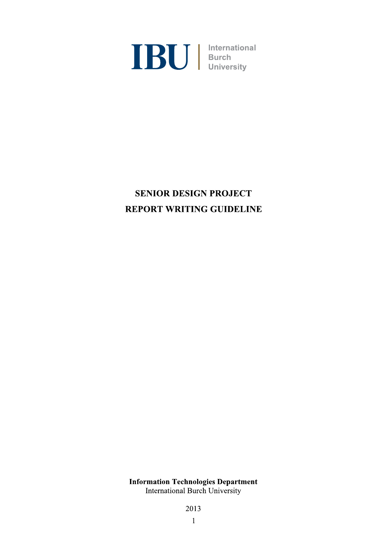

# **SENIOR DESIGN PROJECT REPORT WRITING GUIDELINE**

**Information Technologies Department** International Burch University

2013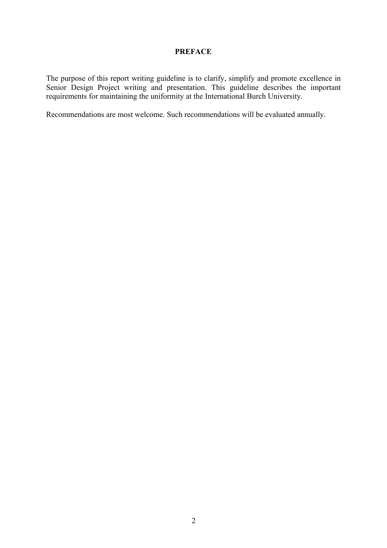#### **PREFACE**

The purpose of this report writing guideline is to clarify, simplify and promote excellence in Senior Design Project writing and presentation. This guideline describes the important requirements for maintaining the uniformity at the International Burch University.

Recommendations are most welcome. Such recommendations will be evaluated annually.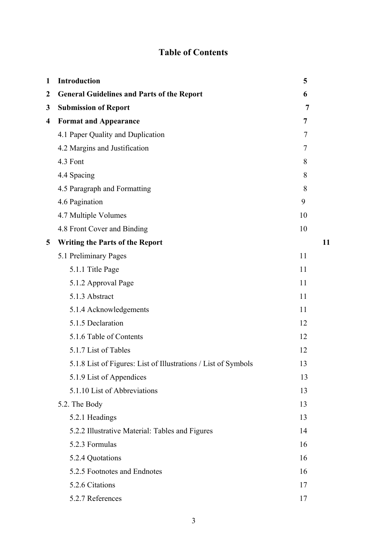# **Table of Contents**

| $\mathbf{1}$            | <b>Introduction</b>                                            | 5  |
|-------------------------|----------------------------------------------------------------|----|
| $\boldsymbol{2}$        | <b>General Guidelines and Parts of the Report</b>              | 6  |
| 3                       | <b>Submission of Report</b>                                    | 7  |
| $\overline{\mathbf{4}}$ | <b>Format and Appearance</b>                                   | 7  |
|                         | 4.1 Paper Quality and Duplication                              | 7  |
|                         | 4.2 Margins and Justification                                  | 7  |
|                         | 4.3 Font                                                       | 8  |
|                         | 4.4 Spacing                                                    | 8  |
|                         | 4.5 Paragraph and Formatting                                   | 8  |
|                         | 4.6 Pagination                                                 | 9  |
|                         | 4.7 Multiple Volumes                                           | 10 |
|                         | 4.8 Front Cover and Binding                                    | 10 |
| 5                       | <b>Writing the Parts of the Report</b>                         | 11 |
|                         | 5.1 Preliminary Pages                                          | 11 |
|                         | 5.1.1 Title Page                                               | 11 |
|                         | 5.1.2 Approval Page                                            | 11 |
|                         | 5.1.3 Abstract                                                 | 11 |
|                         | 5.1.4 Acknowledgements                                         | 11 |
|                         | 5.1.5 Declaration                                              | 12 |
|                         | 5.1.6 Table of Contents                                        | 12 |
|                         | 5.1.7 List of Tables                                           | 12 |
|                         | 5.1.8 List of Figures: List of Illustrations / List of Symbols | 13 |
|                         | 5.1.9 List of Appendices                                       | 13 |
|                         | 5.1.10 List of Abbreviations                                   | 13 |
|                         | 5.2. The Body                                                  | 13 |
|                         | 5.2.1 Headings                                                 | 13 |
|                         | 5.2.2 Illustrative Material: Tables and Figures                | 14 |
|                         | 5.2.3 Formulas                                                 | 16 |
|                         | 5.2.4 Quotations                                               | 16 |
|                         | 5.2.5 Footnotes and Endnotes                                   | 16 |
|                         | 5.2.6 Citations                                                | 17 |
|                         | 5.2.7 References                                               | 17 |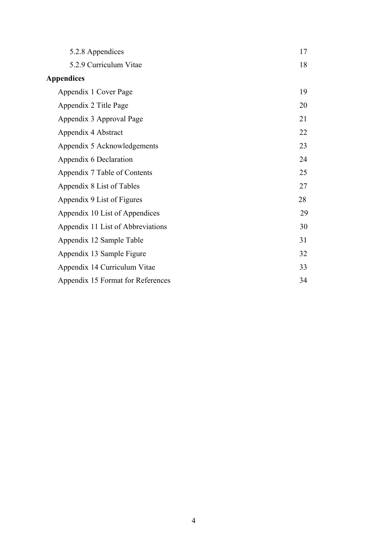| 5.2.8 Appendices                  | 17 |
|-----------------------------------|----|
| 5.2.9 Curriculum Vitae            | 18 |
| <b>Appendices</b>                 |    |
| Appendix 1 Cover Page             | 19 |
| Appendix 2 Title Page             | 20 |
| Appendix 3 Approval Page          | 21 |
| Appendix 4 Abstract               | 22 |
| Appendix 5 Acknowledgements       | 23 |
| Appendix 6 Declaration            | 24 |
| Appendix 7 Table of Contents      | 25 |
| Appendix 8 List of Tables         | 27 |
| Appendix 9 List of Figures        | 28 |
| Appendix 10 List of Appendices    | 29 |
| Appendix 11 List of Abbreviations | 30 |
| Appendix 12 Sample Table          | 31 |
| Appendix 13 Sample Figure         | 32 |
| Appendix 14 Curriculum Vitae      | 33 |
| Appendix 15 Format for References | 34 |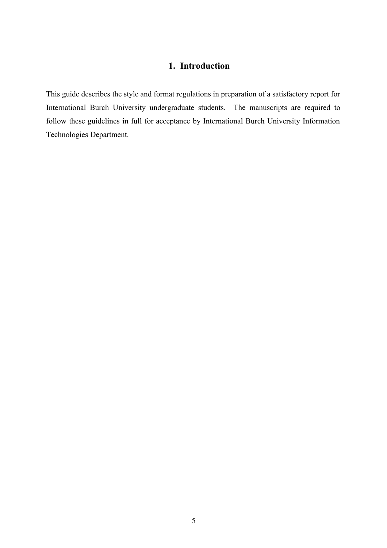## **1. Introduction**

This guide describes the style and format regulations in preparation of a satisfactory report for International Burch University undergraduate students. The manuscripts are required to follow these guidelines in full for acceptance by International Burch University Information Technologies Department.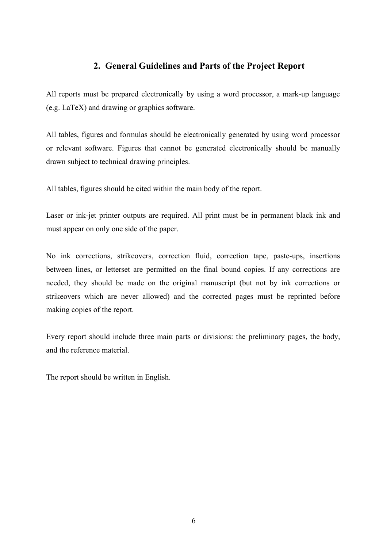## **2. General Guidelines and Parts of the Project Report**

All reports must be prepared electronically by using a word processor, a mark-up language (e.g. LaTeX) and drawing or graphics software.

All tables, figures and formulas should be electronically generated by using word processor or relevant software. Figures that cannot be generated electronically should be manually drawn subject to technical drawing principles.

All tables, figures should be cited within the main body of the report.

Laser or ink-jet printer outputs are required. All print must be in permanent black ink and must appear on only one side of the paper.

No ink corrections, strikeovers, correction fluid, correction tape, paste-ups, insertions between lines, or letterset are permitted on the final bound copies. If any corrections are needed, they should be made on the original manuscript (but not by ink corrections or strikeovers which are never allowed) and the corrected pages must be reprinted before making copies of the report.

Every report should include three main parts or divisions: the preliminary pages, the body, and the reference material.

The report should be written in English.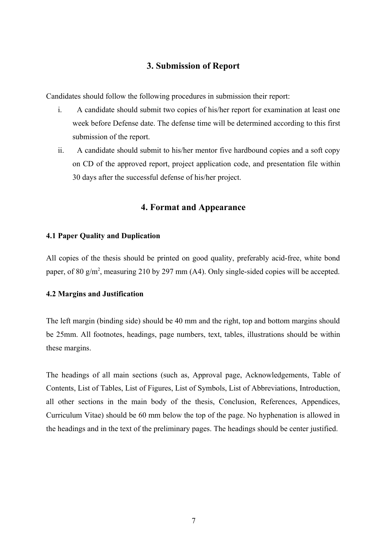## **3. Submission of Report**

Candidates should follow the following procedures in submission their report:

- i. A candidate should submit two copies of his/her report for examination at least one week before Defense date. The defense time will be determined according to this first submission of the report.
- ii. A candidate should submit to his/her mentor five hardbound copies and a soft copy on CD of the approved report, project application code, and presentation file within 30 days after the successful defense of his/her project.

#### **4. Format and Appearance**

#### **4.1 Paper Quality and Duplication**

All copies of the thesis should be printed on good quality, preferably acid-free, white bond paper, of 80 g/m<sup>2</sup>, measuring 210 by 297 mm (A4). Only single-sided copies will be accepted.

#### **4.2 Margins and Justification**

The left margin (binding side) should be 40 mm and the right, top and bottom margins should be 25mm. All footnotes, headings, page numbers, text, tables, illustrations should be within these margins.

The headings of all main sections (such as, Approval page, Acknowledgements, Table of Contents, List of Tables, List of Figures, List of Symbols, List of Abbreviations, Introduction, all other sections in the main body of the thesis, Conclusion, References, Appendices, Curriculum Vitae) should be 60 mm below the top of the page. No hyphenation is allowed in the headings and in the text of the preliminary pages. The headings should be center justified.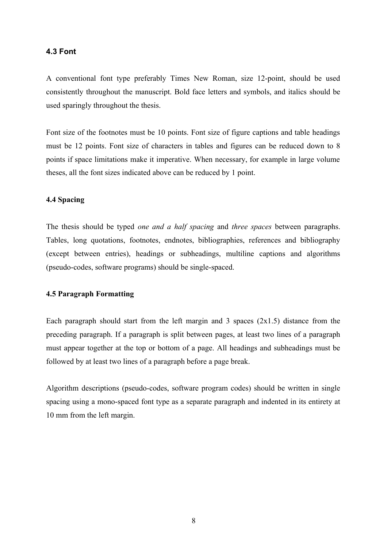#### **4.3 Font**

A conventional font type preferably Times New Roman, size 12-point, should be used consistently throughout the manuscript. Bold face letters and symbols, and italics should be used sparingly throughout the thesis.

Font size of the footnotes must be 10 points. Font size of figure captions and table headings must be 12 points. Font size of characters in tables and figures can be reduced down to 8 points if space limitations make it imperative. When necessary, for example in large volume theses, all the font sizes indicated above can be reduced by 1 point.

### **4.4 Spacing**

The thesis should be typed *one and a half spacing* and *three spaces* between paragraphs. Tables, long quotations, footnotes, endnotes, bibliographies, references and bibliography (except between entries), headings or subheadings, multiline captions and algorithms (pseudo-codes, software programs) should be single-spaced.

#### **4.5 Paragraph Formatting**

Each paragraph should start from the left margin and 3 spaces  $(2x1.5)$  distance from the preceding paragraph. If a paragraph is split between pages, at least two lines of a paragraph must appear together at the top or bottom of a page. All headings and subheadings must be followed by at least two lines of a paragraph before a page break.

Algorithm descriptions (pseudo-codes, software program codes) should be written in single spacing using a mono-spaced font type as a separate paragraph and indented in its entirety at 10 mm from the left margin.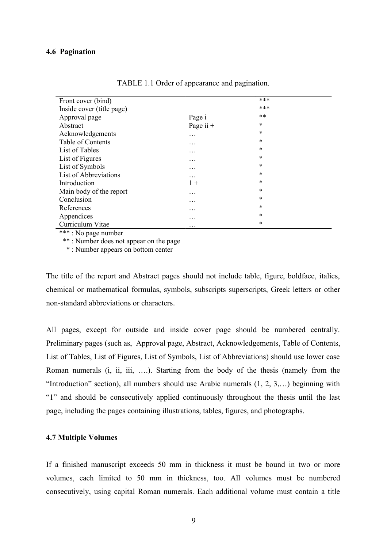| Front cover (bind)        |             | ***    |
|---------------------------|-------------|--------|
| Inside cover (title page) |             | ***    |
| Approval page             | Page i      | $***$  |
| Abstract                  | Page ii $+$ | $\ast$ |
| Acknowledgements          | .           | *      |
| Table of Contents         | .           | $\ast$ |
| List of Tables            | .           | *      |
| List of Figures           | .           | $\ast$ |
| List of Symbols           | .           | *      |
| List of Abbreviations     | .           | $\ast$ |
| Introduction              | $1 +$       | *      |
| Main body of the report   | .           | $\ast$ |
| Conclusion                | .           | *      |
| References                | .           | *      |
| Appendices                | .           | *      |
| Curriculum Vitae          | .           | *      |

TABLE 1.1 Order of appearance and pagination.

\*\*\* : No page number

\*\* : Number does not appear on the page

\* : Number appears on bottom center

The title of the report and Abstract pages should not include table, figure, boldface, italics, chemical or mathematical formulas, symbols, subscripts superscripts, Greek letters or other non-standard abbreviations or characters.

All pages, except for outside and inside cover page should be numbered centrally. Preliminary pages (such as, Approval page, Abstract, Acknowledgements, Table of Contents, List of Tables, List of Figures, List of Symbols, List of Abbreviations) should use lower case Roman numerals (i, ii, iii, ….). Starting from the body of the thesis (namely from the "Introduction" section), all numbers should use Arabic numerals (1, 2, 3,…) beginning with "1" and should be consecutively applied continuously throughout the thesis until the last page, including the pages containing illustrations, tables, figures, and photographs.

#### **4.7 Multiple Volumes**

If a finished manuscript exceeds 50 mm in thickness it must be bound in two or more volumes, each limited to 50 mm in thickness, too. All volumes must be numbered consecutively, using capital Roman numerals. Each additional volume must contain a title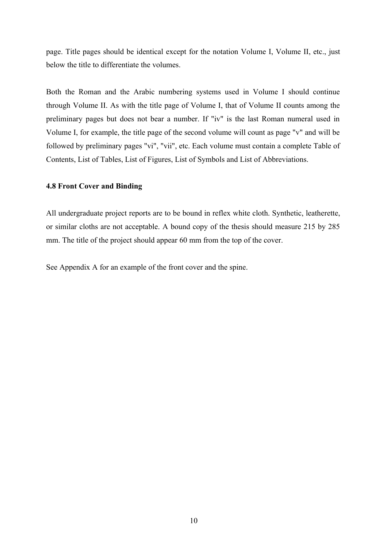page. Title pages should be identical except for the notation Volume I, Volume II, etc., just below the title to differentiate the volumes.

Both the Roman and the Arabic numbering systems used in Volume I should continue through Volume II. As with the title page of Volume I, that of Volume II counts among the preliminary pages but does not bear a number. If "iv" is the last Roman numeral used in Volume I, for example, the title page of the second volume will count as page "v" and will be followed by preliminary pages "vi", "vii", etc. Each volume must contain a complete Table of Contents, List of Tables, List of Figures, List of Symbols and List of Abbreviations.

#### **4.8 Front Cover and Binding**

All undergraduate project reports are to be bound in reflex white cloth. Synthetic, leatherette, or similar cloths are not acceptable. A bound copy of the thesis should measure 215 by 285 mm. The title of the project should appear 60 mm from the top of the cover.

See Appendix A for an example of the front cover and the spine.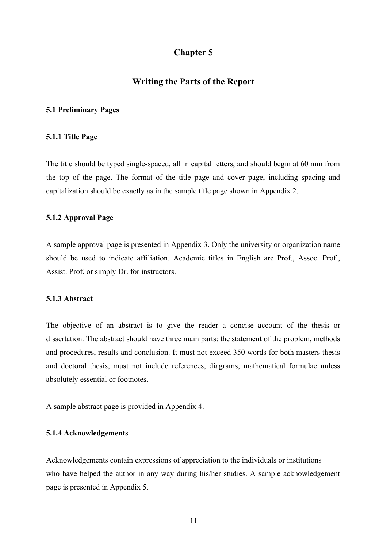### **Chapter 5**

#### **Writing the Parts of the Report**

#### **5.1 Preliminary Pages**

#### **5.1.1 Title Page**

The title should be typed single-spaced, all in capital letters, and should begin at 60 mm from the top of the page. The format of the title page and cover page, including spacing and capitalization should be exactly as in the sample title page shown in Appendix 2.

#### **5.1.2 Approval Page**

A sample approval page is presented in Appendix 3. Only the university or organization name should be used to indicate affiliation. Academic titles in English are Prof., Assoc. Prof., Assist. Prof. or simply Dr. for instructors.

#### **5.1.3 Abstract**

The objective of an abstract is to give the reader a concise account of the thesis or dissertation. The abstract should have three main parts: the statement of the problem, methods and procedures, results and conclusion. It must not exceed 350 words for both masters thesis and doctoral thesis, must not include references, diagrams, mathematical formulae unless absolutely essential or footnotes.

A sample abstract page is provided in Appendix 4.

#### **5.1.4 Acknowledgements**

Acknowledgements contain expressions of appreciation to the individuals or institutions who have helped the author in any way during his/her studies. A sample acknowledgement page is presented in Appendix 5.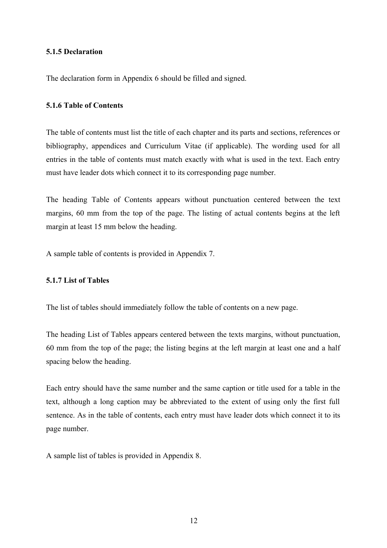#### **5.1.5 Declaration**

The declaration form in Appendix 6 should be filled and signed.

#### **5.1.6 Table of Contents**

The table of contents must list the title of each chapter and its parts and sections, references or bibliography, appendices and Curriculum Vitae (if applicable). The wording used for all entries in the table of contents must match exactly with what is used in the text. Each entry must have leader dots which connect it to its corresponding page number.

The heading Table of Contents appears without punctuation centered between the text margins, 60 mm from the top of the page. The listing of actual contents begins at the left margin at least 15 mm below the heading.

A sample table of contents is provided in Appendix 7.

#### **5.1.7 List of Tables**

The list of tables should immediately follow the table of contents on a new page.

The heading List of Tables appears centered between the texts margins, without punctuation, 60 mm from the top of the page; the listing begins at the left margin at least one and a half spacing below the heading.

Each entry should have the same number and the same caption or title used for a table in the text, although a long caption may be abbreviated to the extent of using only the first full sentence. As in the table of contents, each entry must have leader dots which connect it to its page number.

A sample list of tables is provided in Appendix 8.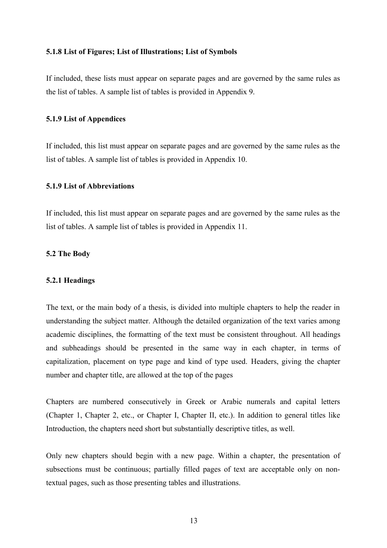#### **5.1.8 List of Figures; List of Illustrations; List of Symbols**

If included, these lists must appear on separate pages and are governed by the same rules as the list of tables. A sample list of tables is provided in Appendix 9.

#### **5.1.9 List of Appendices**

If included, this list must appear on separate pages and are governed by the same rules as the list of tables. A sample list of tables is provided in Appendix 10.

#### **5.1.9 List of Abbreviations**

If included, this list must appear on separate pages and are governed by the same rules as the list of tables. A sample list of tables is provided in Appendix 11.

#### **5.2 The Body**

#### **5.2.1 Headings**

The text, or the main body of a thesis, is divided into multiple chapters to help the reader in understanding the subject matter. Although the detailed organization of the text varies among academic disciplines, the formatting of the text must be consistent throughout. All headings and subheadings should be presented in the same way in each chapter, in terms of capitalization, placement on type page and kind of type used. Headers, giving the chapter number and chapter title, are allowed at the top of the pages

Chapters are numbered consecutively in Greek or Arabic numerals and capital letters (Chapter 1, Chapter 2, etc., or Chapter I, Chapter II, etc.). In addition to general titles like Introduction, the chapters need short but substantially descriptive titles, as well.

Only new chapters should begin with a new page. Within a chapter, the presentation of subsections must be continuous; partially filled pages of text are acceptable only on nontextual pages, such as those presenting tables and illustrations.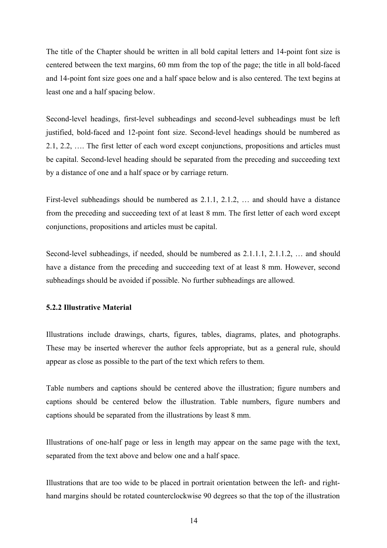The title of the Chapter should be written in all bold capital letters and 14-point font size is centered between the text margins, 60 mm from the top of the page; the title in all bold-faced and 14-point font size goes one and a half space below and is also centered. The text begins at least one and a half spacing below.

Second-level headings, first-level subheadings and second-level subheadings must be left justified, bold-faced and 12-point font size. Second-level headings should be numbered as 2.1, 2.2, …. The first letter of each word except conjunctions, propositions and articles must be capital. Second-level heading should be separated from the preceding and succeeding text by a distance of one and a half space or by carriage return.

First-level subheadings should be numbered as 2.1.1, 2.1.2, … and should have a distance from the preceding and succeeding text of at least 8 mm. The first letter of each word except conjunctions, propositions and articles must be capital.

Second-level subheadings, if needed, should be numbered as 2.1.1.1, 2.1.1.2, … and should have a distance from the preceding and succeeding text of at least 8 mm. However, second subheadings should be avoided if possible. No further subheadings are allowed.

#### **5.2.2 Illustrative Material**

Illustrations include drawings, charts, figures, tables, diagrams, plates, and photographs. These may be inserted wherever the author feels appropriate, but as a general rule, should appear as close as possible to the part of the text which refers to them.

Table numbers and captions should be centered above the illustration; figure numbers and captions should be centered below the illustration. Table numbers, figure numbers and captions should be separated from the illustrations by least 8 mm.

Illustrations of one-half page or less in length may appear on the same page with the text, separated from the text above and below one and a half space.

Illustrations that are too wide to be placed in portrait orientation between the left- and righthand margins should be rotated counterclockwise 90 degrees so that the top of the illustration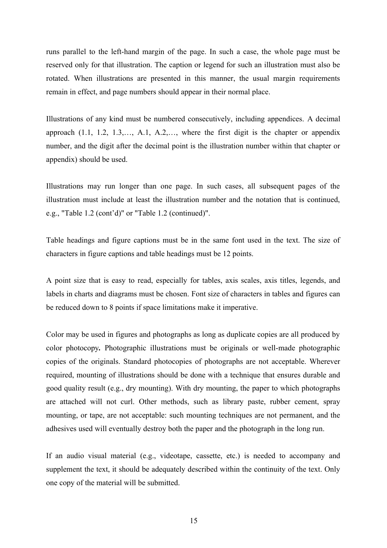runs parallel to the left-hand margin of the page. In such a case, the whole page must be reserved only for that illustration. The caption or legend for such an illustration must also be rotated. When illustrations are presented in this manner, the usual margin requirements remain in effect, and page numbers should appear in their normal place.

Illustrations of any kind must be numbered consecutively, including appendices. A decimal approach (1.1, 1.2, 1.3,…, A.1, A.2,…, where the first digit is the chapter or appendix number, and the digit after the decimal point is the illustration number within that chapter or appendix) should be used.

Illustrations may run longer than one page. In such cases, all subsequent pages of the illustration must include at least the illustration number and the notation that is continued, e.g., "Table 1.2 (cont'd)" or "Table 1.2 (continued)".

Table headings and figure captions must be in the same font used in the text. The size of characters in figure captions and table headings must be 12 points.

A point size that is easy to read, especially for tables, axis scales, axis titles, legends, and labels in charts and diagrams must be chosen. Font size of characters in tables and figures can be reduced down to 8 points if space limitations make it imperative.

Color may be used in figures and photographs as long as duplicate copies are all produced by color photocopy*.* Photographic illustrations must be originals or well-made photographic copies of the originals. Standard photocopies of photographs are not acceptable. Wherever required, mounting of illustrations should be done with a technique that ensures durable and good quality result (e.g., dry mounting). With dry mounting, the paper to which photographs are attached will not curl. Other methods, such as library paste, rubber cement, spray mounting, or tape, are not acceptable: such mounting techniques are not permanent, and the adhesives used will eventually destroy both the paper and the photograph in the long run.

If an audio visual material (e.g., videotape, cassette, etc.) is needed to accompany and supplement the text, it should be adequately described within the continuity of the text. Only one copy of the material will be submitted.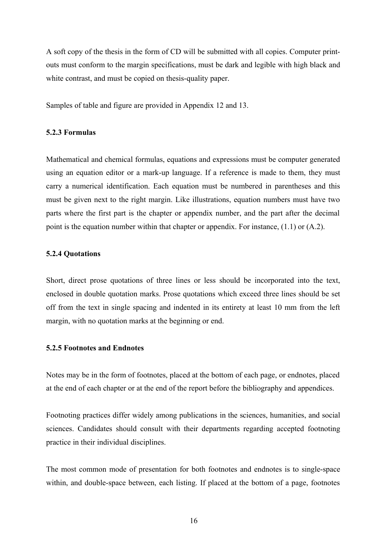A soft copy of the thesis in the form of CD will be submitted with all copies. Computer printouts must conform to the margin specifications, must be dark and legible with high black and white contrast, and must be copied on thesis-quality paper.

Samples of table and figure are provided in Appendix 12 and 13.

#### **5.2.3 Formulas**

Mathematical and chemical formulas, equations and expressions must be computer generated using an equation editor or a mark-up language. If a reference is made to them, they must carry a numerical identification. Each equation must be numbered in parentheses and this must be given next to the right margin. Like illustrations, equation numbers must have two parts where the first part is the chapter or appendix number, and the part after the decimal point is the equation number within that chapter or appendix. For instance, (1.1) or (A.2).

#### **5.2.4 Quotations**

Short, direct prose quotations of three lines or less should be incorporated into the text, enclosed in double quotation marks. Prose quotations which exceed three lines should be set off from the text in single spacing and indented in its entirety at least 10 mm from the left margin, with no quotation marks at the beginning or end.

#### **5.2.5 Footnotes and Endnotes**

Notes may be in the form of footnotes, placed at the bottom of each page, or endnotes, placed at the end of each chapter or at the end of the report before the bibliography and appendices.

Footnoting practices differ widely among publications in the sciences, humanities, and social sciences. Candidates should consult with their departments regarding accepted footnoting practice in their individual disciplines.

The most common mode of presentation for both footnotes and endnotes is to single-space within, and double-space between, each listing. If placed at the bottom of a page, footnotes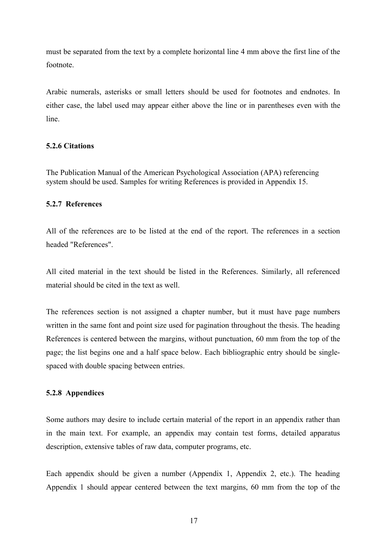must be separated from the text by a complete horizontal line 4 mm above the first line of the footnote.

Arabic numerals, asterisks or small letters should be used for footnotes and endnotes. In either case, the label used may appear either above the line or in parentheses even with the line.

#### **5.2.6 Citations**

The Publication Manual of the American Psychological Association (APA) referencing system should be used. Samples for writing References is provided in Appendix 15.

#### **5.2.7 References**

All of the references are to be listed at the end of the report. The references in a section headed "References".

All cited material in the text should be listed in the References. Similarly, all referenced material should be cited in the text as well.

The references section is not assigned a chapter number, but it must have page numbers written in the same font and point size used for pagination throughout the thesis. The heading References is centered between the margins, without punctuation, 60 mm from the top of the page; the list begins one and a half space below. Each bibliographic entry should be singlespaced with double spacing between entries.

#### **5.2.8 Appendices**

Some authors may desire to include certain material of the report in an appendix rather than in the main text. For example, an appendix may contain test forms, detailed apparatus description, extensive tables of raw data, computer programs, etc.

Each appendix should be given a number (Appendix 1, Appendix 2, etc.). The heading Appendix 1 should appear centered between the text margins, 60 mm from the top of the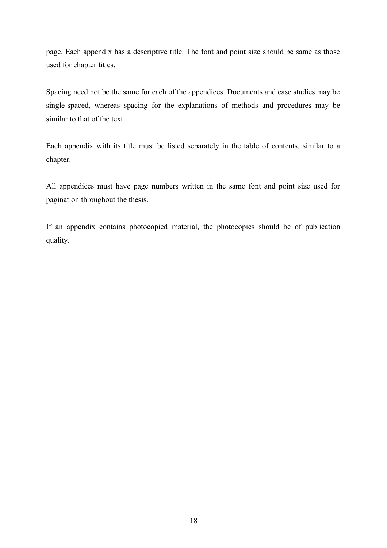page. Each appendix has a descriptive title. The font and point size should be same as those used for chapter titles.

Spacing need not be the same for each of the appendices. Documents and case studies may be single-spaced, whereas spacing for the explanations of methods and procedures may be similar to that of the text.

Each appendix with its title must be listed separately in the table of contents, similar to a chapter.

All appendices must have page numbers written in the same font and point size used for pagination throughout the thesis.

If an appendix contains photocopied material, the photocopies should be of publication quality.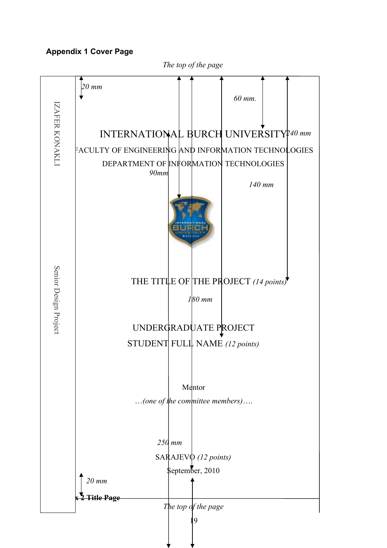## **Appendix 1 Cover Page**

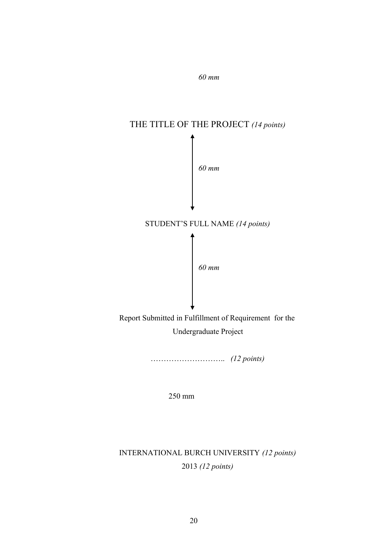

*60 mm*

……………………….. *(12 points)*

250 mm

# INTERNATIONAL BURCH UNIVERSITY *(12 points)* 2013 *(12 points)*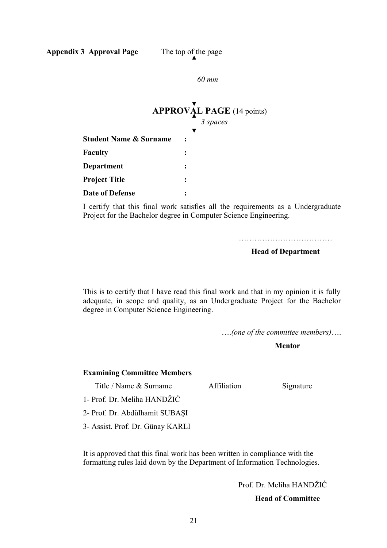

I certify that this final work satisfies all the requirements as a Undergraduate Project for the Bachelor degree in Computer Science Engineering.

……………………………………

#### **Head of Department**

This is to certify that I have read this final work and that in my opinion it is fully adequate, in scope and quality, as an Undergraduate Project for the Bachelor degree in Computer Science Engineering.

….*(one of the committee members)*….

 **Mentor**

#### **Examining Committee Members**

Title / Name & Surname Affiliation Signature

1- Prof. Dr. Meliha HANDŽIĆ

2- Prof. Dr. Abdülhamit SUBAŞI

3- Assist. Prof. Dr. Günay KARLI

It is approved that this final work has been written in compliance with the formatting rules laid down by the Department of Information Technologies.

Prof. Dr. Meliha HANDŽIĆ

 **Head of Committee**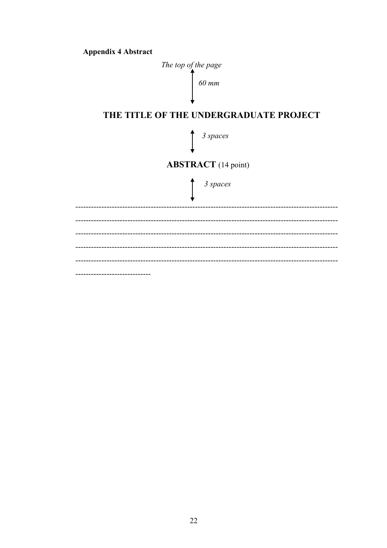

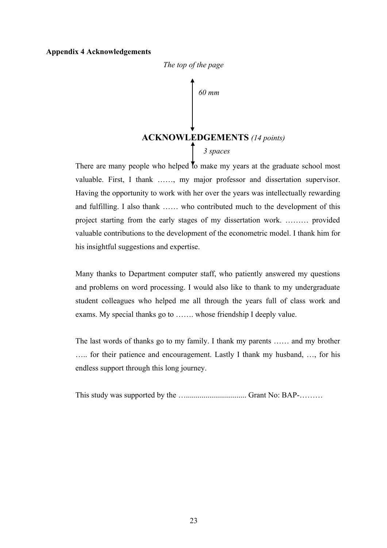#### **Appendix 4 Acknowledgements**



 **ACKNOWLEDGEMENTS** *(14 points) 60 mm 3 spaces*

There are many people who helped to make my years at the graduate school most valuable. First, I thank ……, my major professor and dissertation supervisor. Having the opportunity to work with her over the years was intellectually rewarding and fulfilling. I also thank …… who contributed much to the development of this project starting from the early stages of my dissertation work. ……… provided valuable contributions to the development of the econometric model. I thank him for his insightful suggestions and expertise.

Many thanks to Department computer staff, who patiently answered my questions and problems on word processing. I would also like to thank to my undergraduate student colleagues who helped me all through the years full of class work and exams. My special thanks go to ……. whose friendship I deeply value.

The last words of thanks go to my family. I thank my parents …… and my brother ….. for their patience and encouragement. Lastly I thank my husband, …, for his endless support through this long journey.

This study was supported by the …............................... Grant No: BAP-………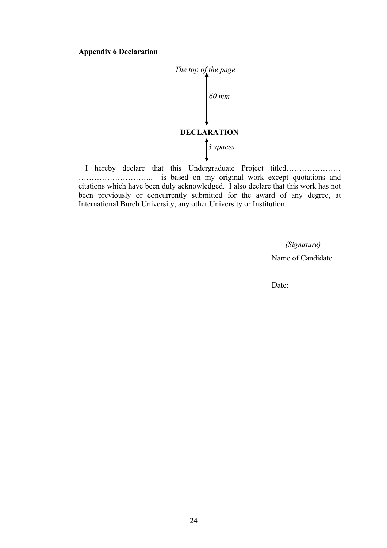#### **Appendix 6 Declaration**



I hereby declare that this Undergraduate Project titled………………… ……………………….. is based on my original work except quotations and citations which have been duly acknowledged. I also declare that this work has not been previously or concurrently submitted for the award of any degree, at International Burch University, any other University or Institution.

> *(Signature)* Name of Candidate

Date: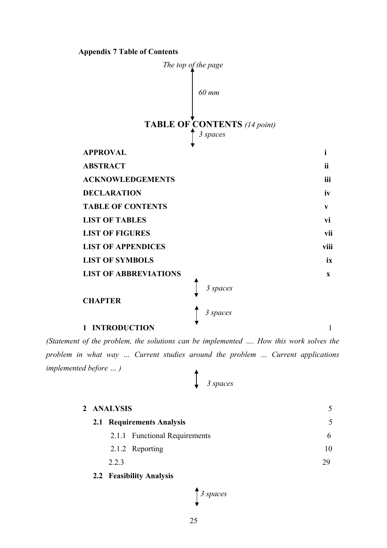#### **Appendix 7 Table of Contents**



*(Statement of the problem, the solutions can be implemented …. How this work solves the problem in what way … Current studies around the problem … Current applications implemented before … )*  $\blacktriangle$ 

| 3 spaces |
|----------|

| 2 ANALYSIS |                               |                          |
|------------|-------------------------------|--------------------------|
|            | 2.1 Requirements Analysis     | $\overline{\mathcal{L}}$ |
|            | 2.1.1 Functional Requirements | 6.                       |
|            | 2.1.2 Reporting               |                          |
| 2.2.3      |                               | 29                       |
|            |                               |                          |

 **2.2 Feasibility Analysis**

$$
\int \frac{3}{s} \, s \, p \, \text{access}
$$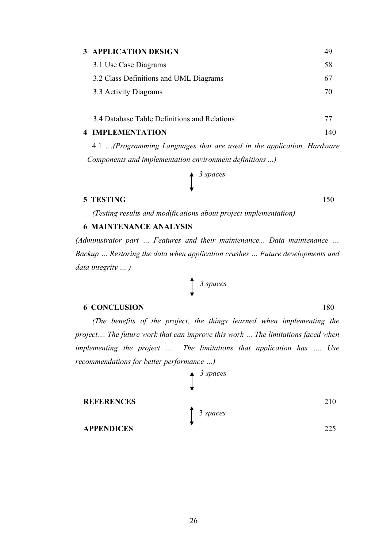### **3 APPLICATION DESIGN** 49

| 3.1 Use Case Diagrams                  | 58. |
|----------------------------------------|-----|
| 3.2 Class Definitions and UML Diagrams | 67  |
| 3.3 Activity Diagrams                  | 70. |

3.4 Database Table Definitions and Relations 77

#### **4 IMPLEMENTATION** 140

4.1 …*(Programming Languages that are used in the application, Hardware Components and implementation environment definitions ...)*

$$
\int \frac{3 \text{ spaces}}{}
$$

#### **5 TESTING** 150

*(Testing results and modifications about project implementation)*

#### **6 MAINTENANCE ANALYSIS**

*(Administrator part … Features and their maintenance... Data maintenance … Backup … Restoring the data when application crashes … Future developments and data integrity … )*

*3 spaces*

#### **6 CONCLUSION** 180

*(The benefits of the project, the things learned when implementing the project.... The future work that can improve this work … The limitations faced when implementing the project … The limitations that application has …. Use recommendations for better performance …)*

 **APPENDICES** 225

 **REFERENCES** 210

3 *spaces*

*3 spaces*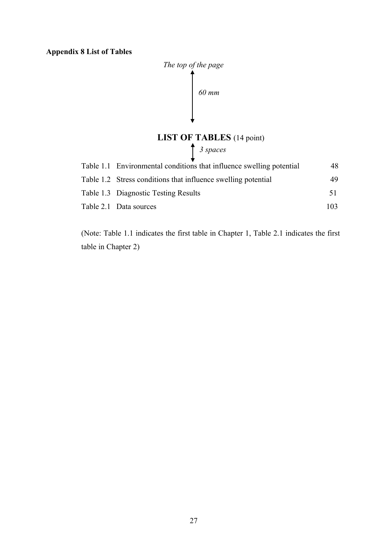**Appendix 8 List of Tables**



### **LIST OF TABLES** (14 point)

*3 spaces*

| Table 1.1 Environmental conditions that influence swelling potential | 48   |
|----------------------------------------------------------------------|------|
| Table 1.2 Stress conditions that influence swelling potential        | 49   |
| Table 1.3 Diagnostic Testing Results                                 | 51   |
| Table 2.1 Data sources                                               | 103. |

(Note: Table 1.1 indicates the first table in Chapter 1, Table 2.1 indicates the first table in Chapter 2)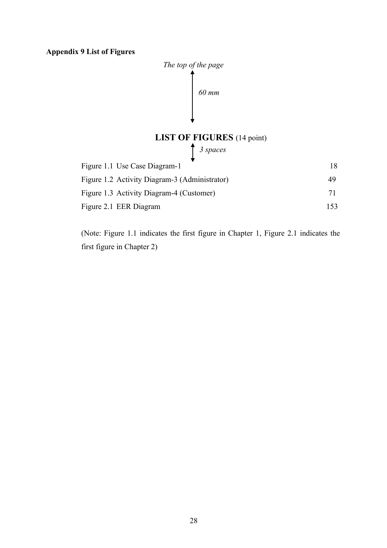**Appendix 9 List of Figures**



**LIST OF FIGURES** (14 point)

*3 spaces*

| Figure 1.1 Use Case Diagram-1                 | 18 |
|-----------------------------------------------|----|
| Figure 1.2 Activity Diagram-3 (Administrator) | 49 |
| Figure 1.3 Activity Diagram-4 (Customer)      | 71 |
| Figure 2.1 EER Diagram                        |    |

(Note: Figure 1.1 indicates the first figure in Chapter 1, Figure 2.1 indicates the first figure in Chapter 2)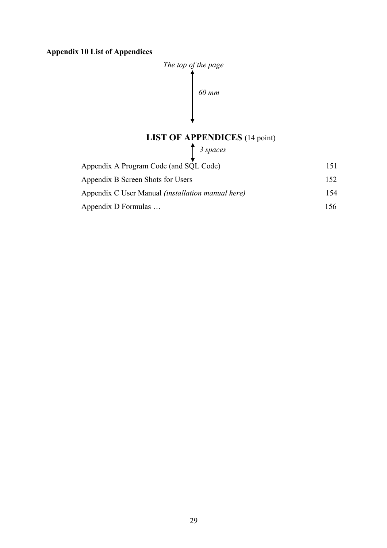## **Appendix 10 List of Appendices**



# **LIST OF APPENDICES** (14 point)

*3 spaces*

| Appendix A Program Code (and SQL Code)                   | 151  |
|----------------------------------------------------------|------|
| Appendix B Screen Shots for Users                        | 152. |
| Appendix C User Manual <i>(installation manual here)</i> | 154  |
| Appendix D Formulas                                      | 156. |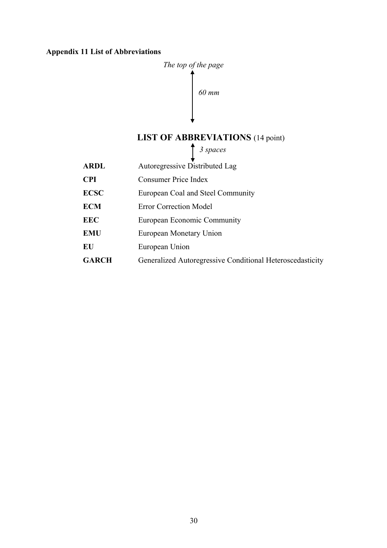#### **Appendix 11 List of Abbreviations**



## **LIST OF ABBREVIATIONS** (14 point)

*3 spaces*

**ARDL** Autoregressive Distributed Lag **CPI** Consumer Price Index **ECSC** European Coal and Steel Community **ECM** Error Correction Model **EEC** European Economic Community **EMU** European Monetary Union **EU** European Union GARCH Generalized Autoregressive Conditional Heteroscedasticity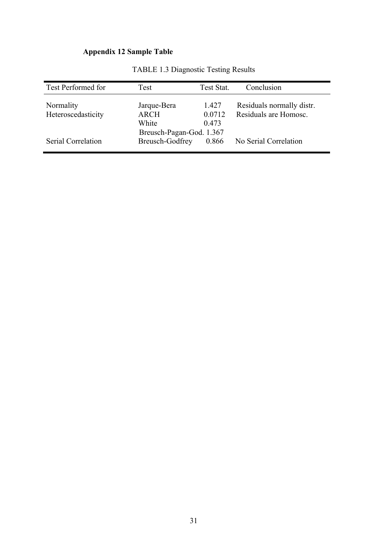# **Appendix 12 Sample Table**

| Test Performed for | Test                     | Test Stat. | Conclusion                |
|--------------------|--------------------------|------------|---------------------------|
| Normality          | Jarque-Bera              | 1.427      | Residuals normally distr. |
| Heteroscedasticity | <b>ARCH</b>              | 0.0712     | Residuals are Homosc.     |
|                    | White                    | 0.473      |                           |
|                    | Breusch-Pagan-God. 1.367 |            |                           |
| Serial Correlation | <b>Breusch-Godfrey</b>   | 0.866      | No Serial Correlation     |
|                    |                          |            |                           |

TABLE 1.3 Diagnostic Testing Results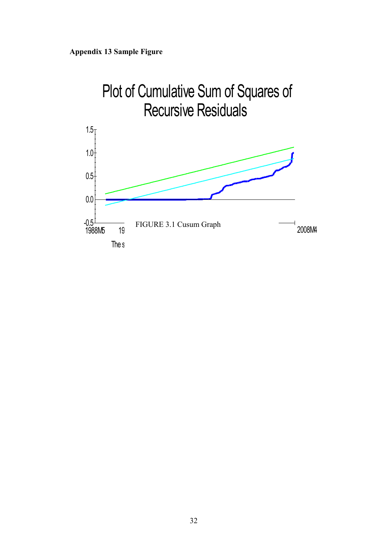